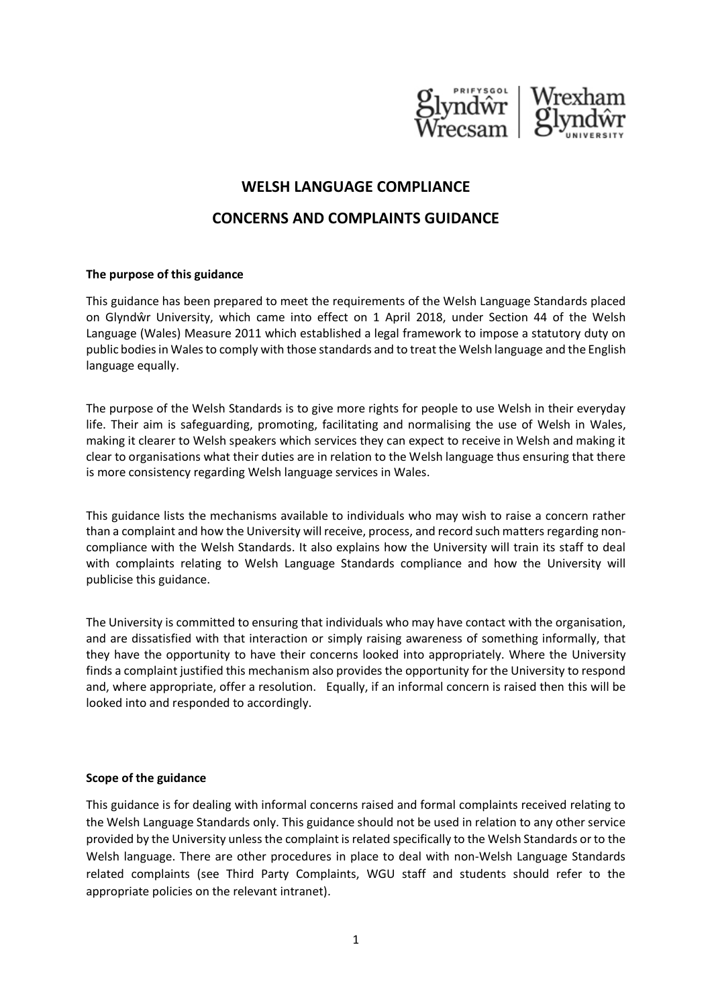

# **WELSH LANGUAGE COMPLIANCE**

# **CONCERNS AND COMPLAINTS GUIDANCE**

#### **The purpose of this guidance**

This guidance has been prepared to meet the requirements of the Welsh Language Standards placed on Glyndŵr University, which came into effect on 1 April 2018, under Section 44 of the Welsh Language (Wales) Measure 2011 which established a legal framework to impose a statutory duty on public bodies in Wales to comply with those standards and to treat the Welsh language and the English language equally.

The purpose of the Welsh Standards is to give more rights for people to use Welsh in their everyday life. Their aim is safeguarding, promoting, facilitating and normalising the use of Welsh in Wales, making it clearer to Welsh speakers which services they can expect to receive in Welsh and making it clear to organisations what their duties are in relation to the Welsh language thus ensuring that there is more consistency regarding Welsh language services in Wales.

This guidance lists the mechanisms available to individuals who may wish to raise a concern rather than a complaint and how the University will receive, process, and record such matters regarding noncompliance with the Welsh Standards. It also explains how the University will train its staff to deal with complaints relating to Welsh Language Standards compliance and how the University will publicise this guidance.

The University is committed to ensuring that individuals who may have contact with the organisation, and are dissatisfied with that interaction or simply raising awareness of something informally, that they have the opportunity to have their concerns looked into appropriately. Where the University finds a complaint justified this mechanism also provides the opportunity for the University to respond and, where appropriate, offer a resolution. Equally, if an informal concern is raised then this will be looked into and responded to accordingly.

#### **Scope of the guidance**

This guidance is for dealing with informal concerns raised and formal complaints received relating to the Welsh Language Standards only. This guidance should not be used in relation to any other service provided by the University unless the complaint is related specifically to the Welsh Standards or to the Welsh language. There are other procedures in place to deal with non-Welsh Language Standards related complaints (see Third Party Complaints, WGU staff and students should refer to the appropriate policies on the relevant intranet).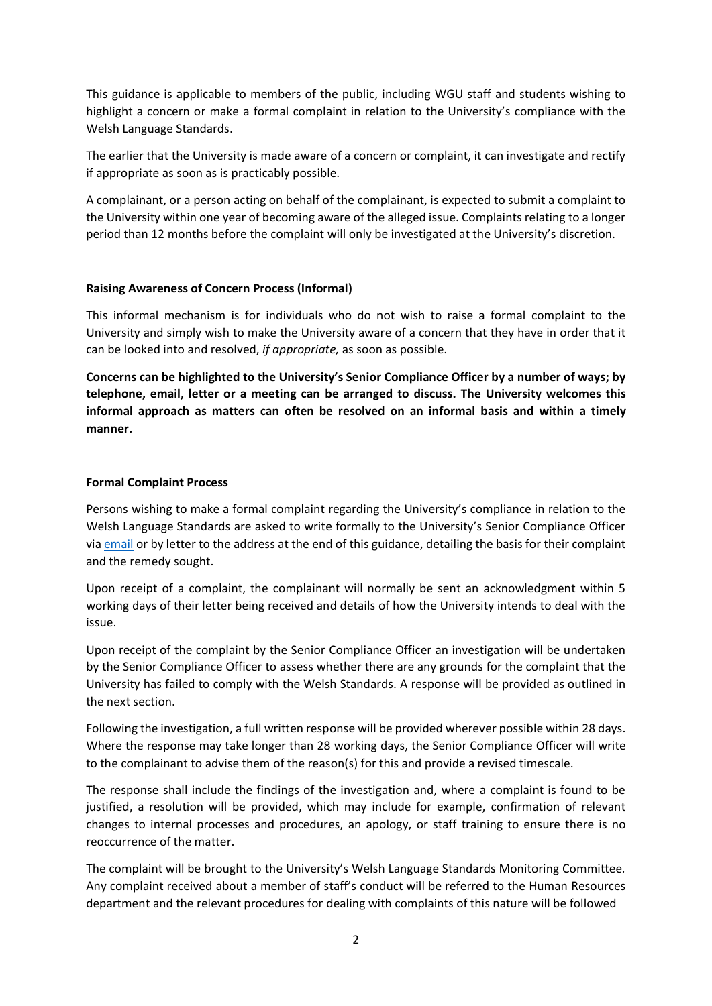This guidance is applicable to members of the public, including WGU staff and students wishing to highlight a concern or make a formal complaint in relation to the University's compliance with the Welsh Language Standards.

The earlier that the University is made aware of a concern or complaint, it can investigate and rectify if appropriate as soon as is practicably possible.

A complainant, or a person acting on behalf of the complainant, is expected to submit a complaint to the University within one year of becoming aware of the alleged issue. Complaints relating to a longer period than 12 months before the complaint will only be investigated at the University's discretion.

### **Raising Awareness of Concern Process (Informal)**

This informal mechanism is for individuals who do not wish to raise a formal complaint to the University and simply wish to make the University aware of a concern that they have in order that it can be looked into and resolved, *if appropriate,* as soon as possible.

**Concerns can be highlighted to the University's Senior Compliance Officer by a number of ways; by telephone, email, letter or a meeting can be arranged to discuss. The University welcomes this informal approach as matters can often be resolved on an informal basis and within a timely manner.**

### **Formal Complaint Process**

Persons wishing to make a formal complaint regarding the University's compliance in relation to the Welsh Language Standards are asked to write formally to the University's Senior Compliance Officer via [email](mailto:welshcompliance@glyndwr.ac.uk) or by letter to the address at the end of this guidance, detailing the basis for their complaint and the remedy sought.

Upon receipt of a complaint, the complainant will normally be sent an acknowledgment within 5 working days of their letter being received and details of how the University intends to deal with the issue.

Upon receipt of the complaint by the Senior Compliance Officer an investigation will be undertaken by the Senior Compliance Officer to assess whether there are any grounds for the complaint that the University has failed to comply with the Welsh Standards. A response will be provided as outlined in the next section.

Following the investigation, a full written response will be provided wherever possible within 28 days. Where the response may take longer than 28 working days, the Senior Compliance Officer will write to the complainant to advise them of the reason(s) for this and provide a revised timescale.

The response shall include the findings of the investigation and, where a complaint is found to be justified, a resolution will be provided, which may include for example, confirmation of relevant changes to internal processes and procedures, an apology, or staff training to ensure there is no reoccurrence of the matter.

The complaint will be brought to the University's Welsh Language Standards Monitoring Committee*.*  Any complaint received about a member of staff's conduct will be referred to the Human Resources department and the relevant procedures for dealing with complaints of this nature will be followed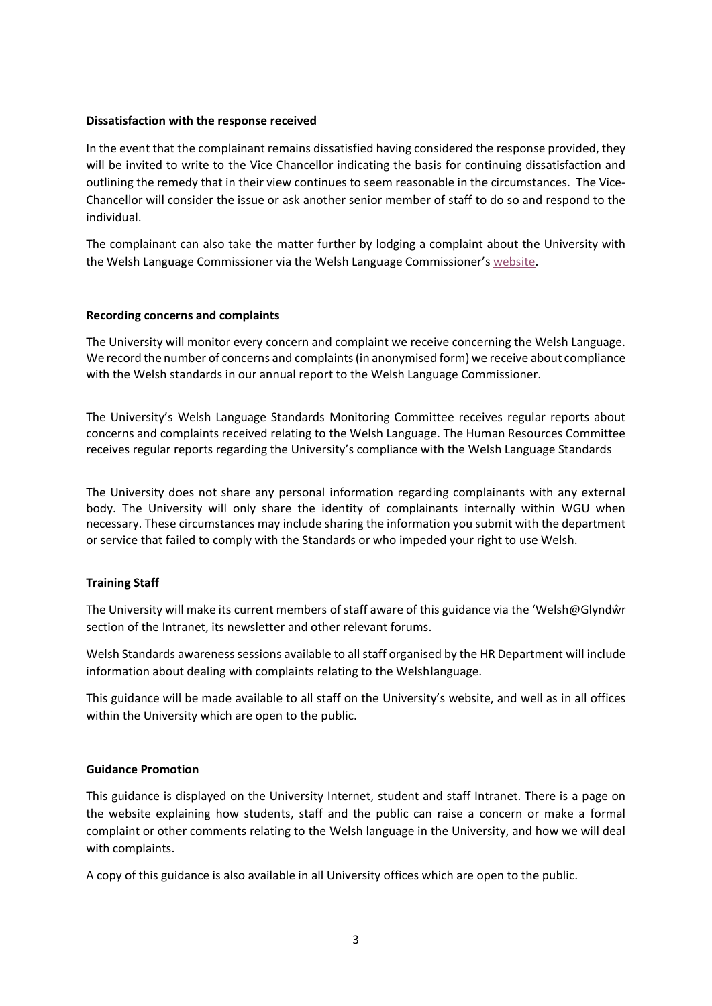#### **Dissatisfaction with the response received**

In the event that the complainant remains dissatisfied having considered the response provided, they will be invited to write to the Vice Chancellor indicating the basis for continuing dissatisfaction and outlining the remedy that in their view continues to seem reasonable in the circumstances. The Vice-Chancellor will consider the issue or ask another senior member of staff to do so and respond to the individual.

The complainant can also take the matter further by lodging a complaint about the University with the Welsh Language Commissioner via the Welsh Language Commissioner'[s website.](https://www.welshlanguagecommissioner.wales/your-rights/make-a-complaint)

#### **Recording concerns and complaints**

The University will monitor every concern and complaint we receive concerning the Welsh Language. We record the number of concerns and complaints (in anonymised form) we receive about compliance with the Welsh standards in our annual report to the Welsh Language Commissioner.

The University's Welsh Language Standards Monitoring Committee receives regular reports about concerns and complaints received relating to the Welsh Language. The Human Resources Committee receives regular reports regarding the University's compliance with the Welsh Language Standards

The University does not share any personal information regarding complainants with any external body. The University will only share the identity of complainants internally within WGU when necessary. These circumstances may include sharing the information you submit with the department or service that failed to comply with the Standards or who impeded your right to use Welsh.

## **Training Staff**

The University will make its current members of staff aware of this guidance via the 'Welsh@Glyndŵr section of the Intranet, its newsletter and other relevant forums.

Welsh Standards awareness sessions available to all staff organised by the HR Department will include information about dealing with complaints relating to the Welshlanguage.

This guidance will be made available to all staff on the University's website, and well as in all offices within the University which are open to the public.

#### **Guidance Promotion**

This guidance is displayed on the University Internet, student and staff Intranet. There is a page on the website explaining how students, staff and the public can raise a concern or make a formal complaint or other comments relating to the Welsh language in the University, and how we will deal with complaints.

A copy of this guidance is also available in all University offices which are open to the public.